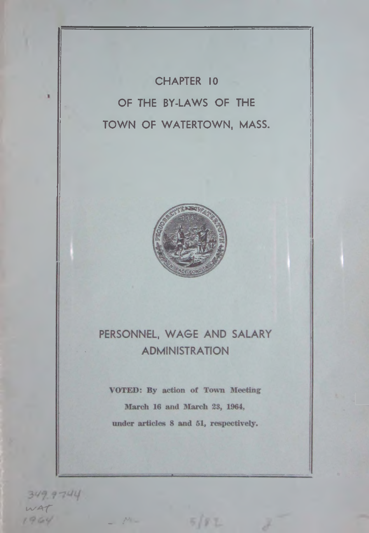CHAPTER 10 OF THE BY-LAWS OF THE TOWN OF WATERTOWN, MASS.



# PERSONNEL, WAGE AND SALARY **ADMINISTRATION**

VOTED: By action of Town Meeting March 16 and March 23, 1964, under articles 8 and 51, respectively.

 $5/87$ 

\_ *t\**

 $WAT$ 

 $1964$ 

349.9744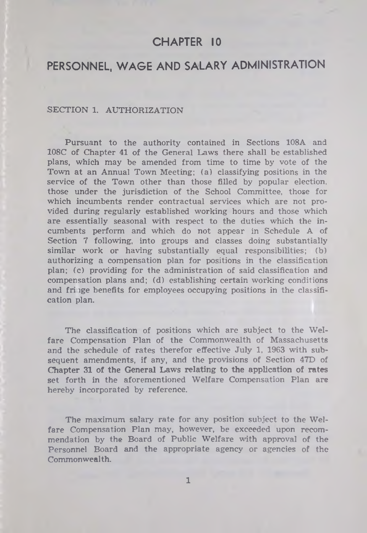# CHAPTER 10

# PERSONNEL, WAGE AND SALARY ADMINISTRATION

#### SECTION 1. AUTHORIZATION

Pursuant to the authority contained in Sections 108A and 108C of Chapter 41 of the General Laws there shall be established plans, which may be amended from time to time by vote of the Town at an Annual Town Meeting; (a) classifying positions in the service of the Town other than those filled by popular election, those under the jurisdiction of the School Committee, those for which incumbents render contractual services which are not provided during regularly established working hours and those which are essentially seasonal with respect to the duties which the incumbents perform and which do not appear in Schedule A of Section 7 following, into groups and classes doing substantially similar work or having substantially equal responsibilities; (b) authorizing a compensation plan for positions in the classification plan; (c) providing for the administration of said classification and compensation plans and; (d) establishing certain working conditions and fri lge benefits for employees occupying positions in the classification plan.

The classification of positions which are subject to the Welfare Compensation Plan of the Commonwealth of Massachusetts and the schedule of rates therefor effective July 1, 1963 with subsequent amendments, if any, and the provisions of Section 47D of Chapter 31 of the General Laws relating to the application of rates set forth in the aforementioned Welfare Compensation Plan are hereby incorporated by reference.

The maximum salary rate for any position subject to the Welfare Compensation Plan may, however, be exceeded upon recommendation by the Board of Public Welfare with approval of the Personnel Board and the appropriate agency or agencies of the Commonwealth.

**1**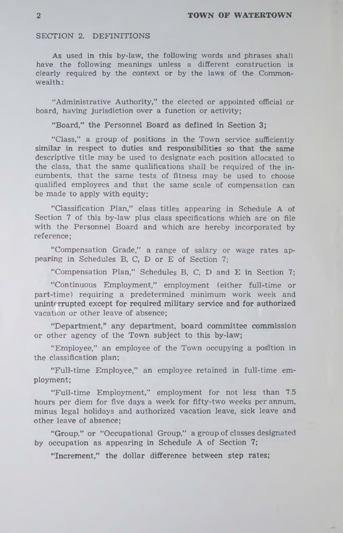#### SECTION 2. DEFINITIONS

As used in this by-law, the following words and phrases shall have the following meanings unless a different construction is clearly required by the context or by the laws of the Commonwealth :

"Administrative Authority," the elected or appointed official or board, having jurisdiction over a function or activity;

"Board," the Personnel Board as defined in Section 3;

"Class," a group of positions in the Town service sufficiently similar in respect to duties and responsibilities so that the same descriptive title may be used to designate each position allocated to the class, that the same qualifications shall be required of the incumbents, that the same tests of fitness may be used to choose qualified employees and that the same scale of compensation can be made to apply with equity:

"Classification Plan," class titles appearing in Schedule A of Section 7 of this by-law plus class specifications which are on file with the Personnel Board and which are hereby incorporated by reference;

"Compensation Grade," a range of salary or wage rates appearing in Schedules B, C, D or E of Section 7;

"Compensation Plan," Schedules B, C, D and E in Section 7;

"Continuous Employment," employment (either full-time or part-time) requiring a predetermined minimum work week and uninterrupted except for required military service and for authorized vacation or other leave of absence;

"Department," any department, board committee commission or other agency of the Town subject to this by-law;

"Employee," an employee of the Town occupying a position in the classification plan;

"Full-time Employee," an employee retained in full-time employment;

"Full-time Employment," employment for not less than 7.5 hours per diem for five days a week for fifty-two weeks per annum, minus legal holidays and authorized vacation leave, sick leave and other leave of absence;

"Group," or "Occupational Group," a group of classes designated by occupation as appearing in Schedule A of Section 7;

"Increment," the dollar difference between step rates;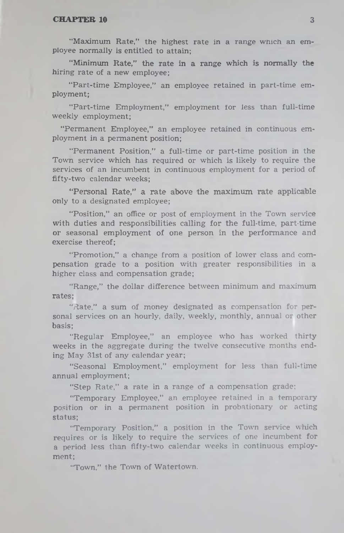"Maximum Rate," the highest rate in a range which an employee normally is entitled to attain;

"Minimum Rate," the rate in a range which is normally the hiring rate of a new employee;

"Part-time Employee," an employee retained in part-time employment;

"Part-time Employment," employment for less than full-time weekly employment;

"Permanent Employee," an employee retained in continuous employment in a permanent position;

"Permanent Position," a full-time or part-time position in the Town service which has required or which is likely to require the services of an incumbent in continuous employment for a period of fifty-two calendar weeks;

" Personal Rate," a rate above the maximum rate applicable only to a designated employee;

"Position," an office or post of employment in the Town service with duties and responsibilities calling for the full-time, part-time or seasonal employment of one person in the performance and exercise thereof;

"Promotion," a change from a position of lower class and compensation grade to a position with greater responsibilities in a higher class and compensation grade;

" Range," the dollar difference between minimum and maximum rates;

"Rate," a sum of money designated as compensation for personal services on an hourly, daily, weekly, monthly, annual or other basis;

"Regular Employee," an employee who has worked thirty weeks in the aggregate during the twelve consecutive months ending May 31st of any calendar year;

"Seasonal Employment," employment for less than full-time annual employment;

"Step Rate," a rate in a range of a compensation grade;

" Temporary Employee," an employee retained in a temporary position or in a permanent position in probationary or acting status;

"Temporary Position," a position in the Town service which requires or is likely to require the services of one incumbent for a period less than fifty-two calendar weeks in continuous employment;

"Town," the Town of Watertown.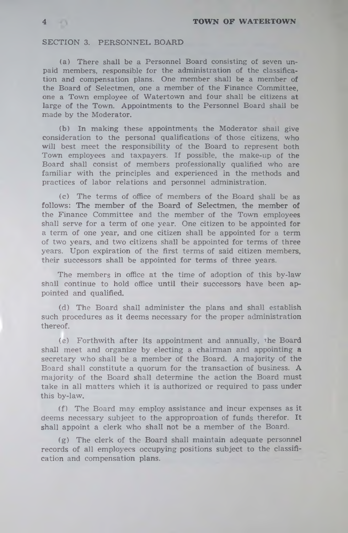# SECTION 3. PERSONNEL BOARD

(a) There shall be a Personnel Board consisting of seven unpaid members, responsible for the administration of the classification and compensation plans. One member shall be a member of the Board of Selectmen, one a member of the Finance Committee, one a Town employee of Watertown and four shall be citizens at large of the Town. Appointments to the Personnel Board shall be made by the Moderator.

(b) In making these appointments the Moderator shall give consideration to the personal qualifications of those citizens, who will best meet the responsibility of the Board to represent both Town employees and taxpayers. If possible, the make-up of the Board shall consist of members professionally qualified who are familiar with the principles and experienced in the methods and practices of labor relations and personnel administration.

(c) The terms of office of members of the Board shall be as follows: The member of the Board of Selectmen, the member of the Finance Committee and the member of the Town employees shall serve for a term of one year. One citizen to be appointed for a term of one year, and one citizen shall be appointed for a term of two years, and two citizens shall be appointed for terms of three years. Upon expiration of the first terms of said citizen members, their successors shall be appointed for terms of three years.

The members in office at the time of adoption of this by-law shall continue to hold office until their successors have been appointed and qualified.

(d) The Board shall administer the plans and shall establish such procedures as it deems necessary for the proper administration thereof.

(e) Forthwith after its appointment and annually, the Board shall meet and organize by electing a chairman and appointing a secretary who shall be a member of the Board. A majority of the Board shall constitute a quorum for the transaction of business. A majority of the Board shall determine the action the Board must take in all matters which it is authorized or required to pass under this by-law.

(f) The Board may employ assistance and incur expenses as it deems necessary subject to the approproation of funds therefor. It shall appoint a clerk who shall not be a member of the Board.

(g) The clerk of the Board shall maintain adequate personnel records of all employees occupying positions subject to the classification and compensation plans.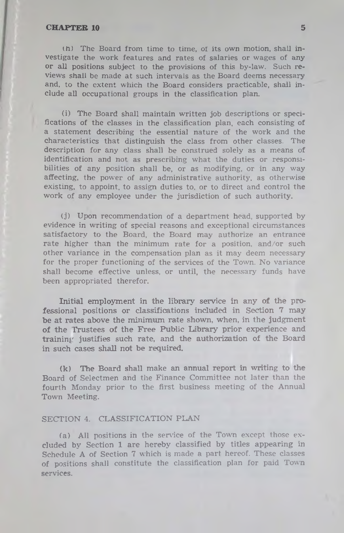(h) The Board from time to time, of its own motion, shall investigate the work features and rates of salaries or wages of any or all positions subject to the provisions of this by-law. Such reviews shall be made at such intervals as the Board deems necessary and, to the extent which the Board considers practicable, shall include all occupational groups in the classification plan.

(i) The Board shall maintain written job descriptions or specifications of the classes in the classification plan, each consisting of a statement describing the essential nature of the work and the characteristics that distinguish the class from other classes. The description for any class shall be construed solely as a means of identification and not as prescribing what the duties or responsibilities of any position shall be, or as modifying, or in any way affecting, the power of any administrative authority, as otherwise existing, to appoint, to assign duties to, or to direct and control the work of any employee under the jurisdiction of such authority.

(j) Upon recommendation of a department head, supported by evidence in writing of special reasons and exceptional circumstances satisfactory to the Board, the Board may authorize an entrance rate higher than the minimum rate for a position, and/or such other variance in the compensation plan as it may deem necessary for the proper functioning of the services of the Town. No variance shall become effective unless, or until, the necessary funds have been appropriated therefor.

Initial employment in the library service in any of the professional positions or classifications included in Section 7 may be at rates above the minimum rate shown, when, in the judgment of the Trustees of the Free Public Library prior experience and training justifies such rate, and the authorization of the Board in such cases shall not be required.

(k) The Board shall make an annual report in writing to the Board of Selectmen and the Finance Committee not later than the fourth Monday prior to the first business meeting of the Annual Town Meeting.

#### SECTION 4. CLASSIFICATION PLAN

(a) All positions in the service of the Town except those excluded by Section 1 are hereby classified by titles appearing in Schedule A of Section 7 which is made a part hereof. These classes of positions shall constitute the classification plan for paid Town services.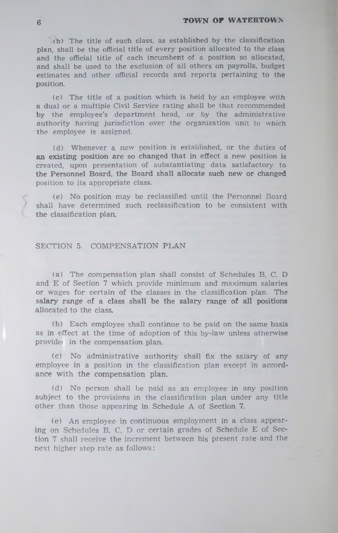# **TOWN OF WATERTOWN**

(b) The title of each class, as established by the classification plan, shall be the official title of every position allocated to the class and the official title of each incumbent of a position so allocated, and shall be used to the exclusion of all others on payrolls, budget estimates and other official records and reports pertaining to the position.

(c) The title of a position which is held by an employee with a dual or a multiple Civil Service rating shall be that recommended by the employee's department head, or by the administrative authority having jurisdiction over the organization unit to which the employee is assigned.

(d) Whenever a new position is established, or the duties of an existing position are so changed that in effect a new position is created, upon presentation of substantiating data satisfactory to the Personnel Board, the Board shall allocate such new or changed position to its appropriate class.

(e) No position may be reclassified until the Personnel Board shall have determined such reclassification to be consistent with the classification plan.

# SECTION 5. COMPENSATION PLAN

(a) The compensation plan shall consist of Schedules B, C, D and E of Section 7 which provide minimum and maximum salaries or wages for certain of the classes in the classification plan. The salary range of a class shall be the salary range of all positions allocated to the class.

(b) Each employee shall continue to be paid on the same basis as in effect at the time of adoption of this by-law unless otherwise provided in the compensation plan.

(c) No administrative authority shall fix the salary of any employee in a position in the classification plan except in accordance with the compensation plan.

(d) No person shall be paid as an employee in any position subject to the provisions in the classification plan under any title other than those appearing in Schedule A of Section 7.

(e) An employee in continuous employment in a class appearing on Schedules B, C, D or certain grades of Schedule E of Section 7 shall receive the increment between his present rate and the next higher step rate as follows:

**6**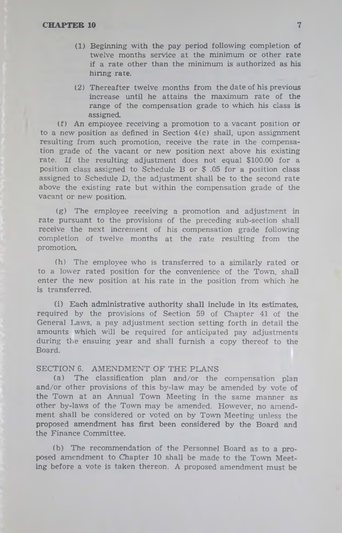- (1) Beginning with the pay period following completion of twelve months service at the minimum or other rate if a rate other than the minimum is authorized as his hiring rate.
- (2) Thereafter twelve months from the date of his previous increase until he attains the maximum rate of the range of the compensation grade to which his class is assigned.

(f) An employee receiving a promotion to a vacant position or to a new position as defined in Section  $4(c)$  shall, upon assignment resulting from such promotion, receive the rate in the compensation grade of the vacant or new position next above his existing rate. If the resulting adjustment does not equal \$100.00 for a position class assigned to Schedule B or \$ .05 for a position class assigned to Schedule D, the adjustment shall be to the second rate above the existing rate but within the compensation grade of the vacant or new position.

(g) The employee receiving a promotion and adjustment in rate pursuant to the provisions of the preceding sub-section shall receive the next increment of his compensation grade following completion of twelve months at the rate resulting from the promotion.

(h) The employee who is transferred to a similarly rated or to a lower rated position for the convenience of the Town, shall enter the new position at his rate in the position from which he is transferred.

(i) Each administrative authority shall include in its estimates, required by the provisions of Section 59 of Chapter 41 of the General Laws, a pay adjustment section setting forth in detail the amounts which will be required for anticipated pay adjustments during the ensuing year and shall furnish a copy thereof to the Board.

#### SECTION 6. AMENDMENT OF THE PLANS

(a) The classification plan and/or the compensation plan and/or other provisions of this by-law may be amended by vote of the Town at an Annual Town Meeting in the same manner as other by-laws of the Town may be amended. However, no amendment shall be considered or voted on by Town Meeting unless the proposed amendment has first been considered by the Board and the Finance Committee.

(b) The recommendation of the Personnel Board as to a proposed amendment to Chapter 10 shall be made to the Town Meeting before a vote is taken thereon. A proposed amendment must be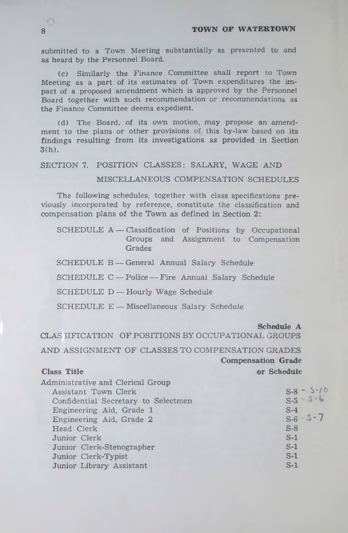## **8 TOWN OF WATERTOWN**

submitted to a Town Meeting substantially as presented to and as heard by the Personnel Board.

(c) Similarly the Finance Committee shall report to Town Meeting as a part of its estimates of Town expenditures the impact of a proposed amendment which is approved by the Personnel Board together with such recommendation or recommendations as the Finance Committee deems expedient.

(d) The Board, of its own motion, may propose an amendment to the plans or other provisions of this by-law based on its findings resulting from its investigations as provided in Section 3(h).

SECTION 7. POSITION CLASSES: SALARY, WAGE AND

# MISCELLANEOUS COMPENSATION SCHEDULES

The following schedules, together with class specifications previously incorporated by reference, constitute the classification and compensation plans of the Town as defined in Section 2:

SCHEDULE A - Classification of Positions by Occupational Groups and Assignment to Compensation **Grades** 

SCHEDULE B — General Annual Salary Schedule

SCHEDULE C — Police — Fire Annual Salary Schedule

SCHEDULE D — Hourly Wage Schedule

SCHEDULE E - Miscellaneous Salary Schedule

**Schedule A**

CLAS 3IFICATION OF POSITIONS BY OCCUPATIONAL GROUPS

AND ASSIGNMENT OF CLASSES TO COMPENSATION GRADES **Compensation Grade Class Title 6 and 10 and 10 and 10 and 10 and 10 and 10 and 10 and 10 and 10 and 10 and 10 and 10 and 10 and 10 and 10 and 10 and 10 and 10 and 10 and 10 and 10 and 10 and 10 and 10 and 10 and 10 and 10 and 10 and 10 and** 

Administrative and Clerical Group

| Administrative and Clerical Group   |               |
|-------------------------------------|---------------|
| Assistant Town Clerk                | $S-8 - S-10$  |
| Confidential Secretary to Selectmen | $S-5 - 5 - 6$ |
| Engineering Aid, Grade 1            | $S-4$         |
| Engineering Aid, Grade 2            | $S-6 - S-7$   |
| Head Clerk                          | $S-8$         |
| Junior Clerk                        | $S-1$         |
| Junior Clerk-Stenographer           | $S-1$         |
| Junior Clerk-Typist                 | $S-1$         |
| Junior Library Assistant            | $S-1$         |
|                                     |               |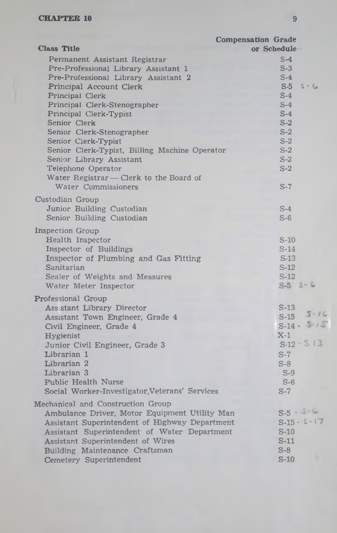|                                                                                                                                                                                                                                                                                                           | <b>Compensation Grade</b>                                                                                          |
|-----------------------------------------------------------------------------------------------------------------------------------------------------------------------------------------------------------------------------------------------------------------------------------------------------------|--------------------------------------------------------------------------------------------------------------------|
| <b>Class Title</b>                                                                                                                                                                                                                                                                                        | or Schedule                                                                                                        |
| Permanent Assistant Registrar<br>Pre-Professional Library Assistant 1<br>Pre-Professional Library Assistant 2<br>Principal Account Clerk                                                                                                                                                                  | $S-4$<br>$S-3$<br>$S-4$<br>$S-5$<br>$5 - 6$                                                                        |
| Principal Clerk<br>Principal Clerk-Stenographer<br>Principal Clerk-Typist<br>Senior Clerk<br>Senior Clerk-Stenographer                                                                                                                                                                                    | $S-4$<br>$S-4$<br>$S-4$<br>$S-2$<br>$S-2$                                                                          |
| Senior Clerk-Typist<br>Senior Clerk-Typist, Billing Machine Operator<br>Senior Library Assistant<br>Telephone Operator<br>Water Registrar - Clerk to the Board of                                                                                                                                         | $S-2$<br>$S-2$<br>$S-2$<br>$S-2$                                                                                   |
| Water Commissioners<br>Custodian Group<br>Junior Building Custodian<br>Senior Building Custodian                                                                                                                                                                                                          | $S-7$<br>$S-4$<br>$S-6$                                                                                            |
| <b>Inspection Group</b><br>Health Inspector<br>Inspector of Buildings<br>Inspector of Plumbing and Gas Fitting<br>Sanitarian<br>Sealer of Weights and Measures<br>Water Meter Inspector                                                                                                                   | $S-10$<br>$S-14$<br>$S-13$<br>$S-12$<br>$S-12$<br>$S-5$ $5-6$                                                      |
| <b>Professional Group</b><br>Ass stant Library Director<br>Assistant Town Engineer, Grade 4<br>Civil Engineer, Grade 4<br><b>Hygienist</b><br>Junior Civil Engineer, Grade 3<br>Librarian 1<br>Librarian 2<br>Librarian 3<br><b>Public Health Nurse</b><br>Social Worker-Investigator, Veterans' Services | S-13<br>$5 - 16$<br>$S-15$<br>$S-14 - 5.15$<br>$X-1$<br>$S-12 - S$ 13<br>$S-7$<br>$S-8$<br>$S-9$<br>$S-6$<br>$S-7$ |
| Mechanical and Construction Group<br>Ambulance Driver, Motor Equipment Utility Man<br>Assistant Superintendent of Highway Department<br>Assistant Superintendent of Water Department<br><b>Assistant Superintendent of Wires</b><br>Building Maintenance Craftsman<br>Cemetery Superintendent             | $S-5 - 1 - 6$<br>$S-15 - S-17$<br>$S-10$<br>$S-11$<br>$S-8$<br>$S-10$                                              |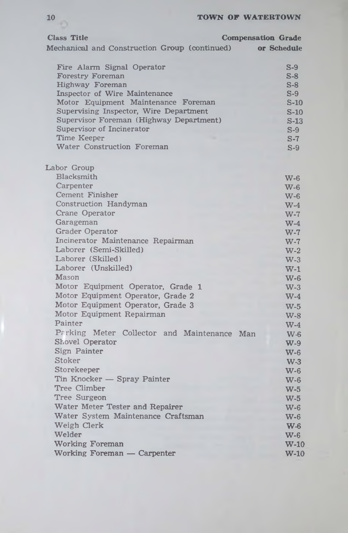| 10                                            | TOWN OF WATERTOWN         |
|-----------------------------------------------|---------------------------|
| <b>Class Title</b>                            | <b>Compensation Grade</b> |
| Mechanical and Construction Group (continued) | or Schedule               |
| Fire Alarm Signal Operator                    | $S-9$                     |
| <b>Forestry Foreman</b>                       | $S-8$                     |
| Highway Foreman                               | $S-8$                     |
| <b>Inspector of Wire Maintenance</b>          | $S-9$                     |
| Motor Equipment Maintenance Foreman           | $S-10$                    |
| Supervising Inspector, Wire Department        | $S-10$                    |
| Supervisor Foreman (Highway Department)       | $S-13$                    |
| Supervisor of Incinerator                     | $S-9$                     |
| Time Keeper                                   | $S-7$                     |
| Water Construction Foreman                    | $S-9$                     |
| Labor Group                                   |                           |
| Blacksmith                                    | $W-6$                     |
| Carpenter                                     | $W-6$                     |
| Cement Finisher                               | $W-6$                     |
| Construction Handyman                         | $W-4$                     |
| Crane Operator                                | $W-7$                     |
| Garageman                                     | $W-4$                     |
| <b>Grader Operator</b>                        | $W-7$                     |
| Incinerator Maintenance Repairman             | $W-7$                     |
| Laborer (Semi-Skilled)                        | $W-2$                     |
| Laborer (Skilled)                             | $W-3$                     |
| Laborer (Unskilled)                           | $W-1$                     |
| Mason                                         | $W-6$                     |
| Motor Equipment Operator, Grade 1             | $W-3$                     |
| Motor Equipment Operator, Grade 2             | $W-4$                     |
| Motor Equipment Operator, Grade 3             | $W-5$                     |
| Motor Equipment Repairman                     | $W-8$                     |
| Painter                                       | $W-4$                     |
| Parking Meter Collector and Maintenance       | Man<br><b>W-6</b>         |
| <b>Shovel Operator</b>                        | $W-9$                     |
| Sign Painter                                  | $W-6$                     |
| Stoker                                        | $W-3$                     |
| Storekeepe <b>r</b>                           | $W-6$                     |
| Tin Knocker - Spray Painter                   | $W-6$                     |
| Tree Climber                                  | $W-5$                     |
| Tree Surgeon                                  | $W-5$                     |
| Water Meter Tester and Repairer               | $W-6$                     |
| Water System Maintenance Craftsman            | <b>W-6</b>                |
| Weigh Clerk                                   | $W-6$                     |
| Welder                                        | $W-6$                     |
| <b>Working Foreman</b>                        | $W-10$                    |
| Working Foreman - Carpenter                   | $W-10$                    |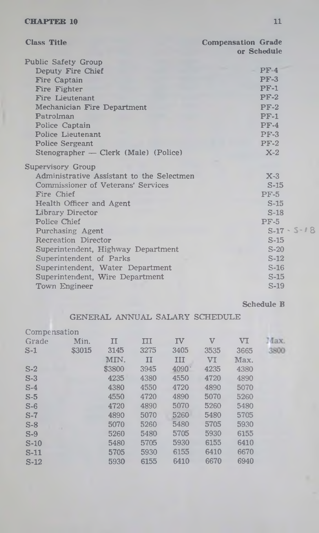| $PF-4$                                             |
|----------------------------------------------------|
| $PF-3$                                             |
| $PF-1$                                             |
| $PF-2$                                             |
| $PF-2$                                             |
| $PF-1$                                             |
| $PF-4$                                             |
| $PF-3$                                             |
| $PF-2$                                             |
| $X-2$                                              |
|                                                    |
| Administrative Assistant to the Selectmen<br>$X-3$ |
| $S-15$                                             |
| $PF-5$                                             |
| $S-15$                                             |
| $S-18$                                             |
| $PF-5$                                             |
| $S-17 - S-18$                                      |
| $S-15$                                             |
| $S-20$                                             |
| $S-12$                                             |
| $S-16$                                             |
| $S-15$                                             |
| $S-19$                                             |
|                                                    |

Schedule B

# GENERAL ANNUAL SALARY SCHEDULE

| Compensation |        |        |                      |      |              |      |      |
|--------------|--------|--------|----------------------|------|--------------|------|------|
| Grade        | Min.   | п      | $\overline{\rm III}$ | IV   | $\mathbf{V}$ | VI   | Max. |
| $S-1$        | \$3015 | 3145   | 3275                 | 3405 | 3535         | 3665 | 3800 |
|              |        | MIN.   | $_{II}$              | III  | VI           | Max. |      |
| $S-2$        |        | \$3800 | 3945                 | 4090 | 4235         | 4380 |      |
| $S-3$        |        | 4235   | 4380                 | 4550 | 4720         | 4890 |      |
| $S-4$        |        | 4380   | 4550                 | 4720 | 4890         | 5070 |      |
| $S-5$        |        | 4550   | 4720                 | 4890 | 5070         | 5260 |      |
| $S-6$        |        | 4720   | 4890                 | 5070 | 5260         | 5480 |      |
| $S-7$        |        | 4890   | 5070                 | 5260 | 5480         | 5705 |      |
| $S-8$        |        | 5070   | 5260                 | 5480 | 5705         | 5930 |      |
| $S-9$        |        | 5260   | 5480                 | 5705 | 5930         | 6155 |      |
| $S-10$       |        | 5480   | 5705                 | 5930 | 6155         | 6410 |      |
| $S-11$       |        | 5705   | 5930                 | 6155 | 6410         | 6670 |      |
| $S-12$       |        | 5930   | 6155                 | 6410 | 6670         | 6940 |      |
|              |        |        |                      |      |              |      |      |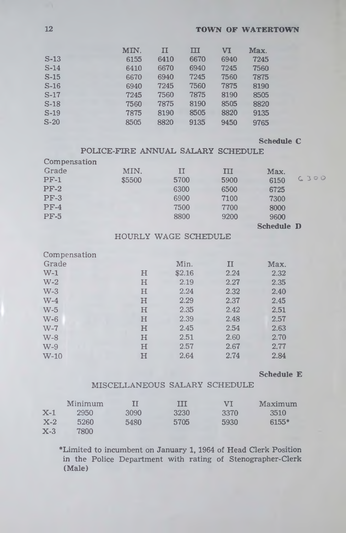# **12 TOWN OF WATERTOWN**

|        | MIN. | II   | ш    | VT   | Max. |
|--------|------|------|------|------|------|
| $S-13$ | 6155 | 6410 | 6670 | 6940 | 7245 |
| $S-14$ | 6410 | 6670 | 6940 | 7245 | 7560 |
| $S-15$ | 6670 | 6940 | 7245 | 7560 | 7875 |
| $S-16$ | 6940 | 7245 | 7560 | 7875 | 8190 |
| $S-17$ | 7245 | 7560 | 7875 | 8190 | 8505 |
| $S-18$ | 7560 | 7875 | 8190 | 8505 | 8820 |
| $S-19$ | 7875 | 8190 | 8505 | 8820 | 9135 |
| $S-20$ | 8505 | 8820 | 9135 | 9450 | 9765 |

# **Schedule C**

POLICE-FIRE ANNUAL SALARY SCHEDULE

| Compensation |        |      |      |                   |      |
|--------------|--------|------|------|-------------------|------|
| Grade        | MIN.   | п    | III  | Max.              |      |
| $PF-1$       | \$5500 | 5700 | 5900 | 6150              | C300 |
| $PF-2$       |        | 6300 | 6500 | 6725              |      |
| $PF-3$       |        | 6900 | 7100 | 7300              |      |
| $PF-4$       |        | 7500 | 7700 | 8000              |      |
| <b>PF-5</b>  |        | 8800 | 9200 | 9600              |      |
|              |        |      |      | <b>Schedule D</b> |      |

# HOURLY WAGE SCHEDULE

| Compensation |             |        |      |      |
|--------------|-------------|--------|------|------|
| Grade        |             | Min.   | п    | Max. |
| $W-1$        | н           | \$2.16 | 2.24 | 2.32 |
| $W-2$        | $\mathbf H$ | 2.19   | 2.27 | 2.35 |
| $W-3$        | H           | 2.24   | 2.32 | 2.40 |
| $W-4$        | H           | 2.29   | 2.37 | 2.45 |
| $W-5$        | H           | 2.35   | 2.42 | 2.51 |
| $W-6$        | H           | 2.39   | 2.48 | 2.57 |
| $W-7$        | $\bf H$     | 2.45   | 2.54 | 2.63 |
| $W-8$        | $\mathbf H$ | 2.51   | 2.60 | 2.70 |
| $W-9$        | H           | 2.57   | 2.67 | 2.77 |
| $W-10$       | н           | 2.64   | 2.74 | 2.84 |

# **Schedule E**

# MISCELLANEOUS SALARY SCHEDULE

|       | Minimum |      | TTT  | <b>ATT</b> | Maximum |
|-------|---------|------|------|------------|---------|
| $X-1$ | 2950    | 3090 | 3230 | 3370       | 3510    |
| $X-2$ | 5260    | 5480 | 5705 | 5930       | $6155*$ |
| $X-3$ | 7800    |      |      |            |         |

♦Limited to incumbent on January 1, 1964 of Head Clerk Position in the Police Department with rating of Stenographer-Clerk (Male)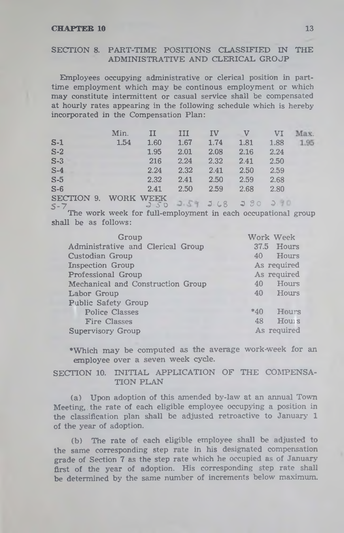## SECTION 8. PART-TIME POSITIONS CLASSIFIED IN THE ADMINISTRATIVE AND CLERICAL GROJP

Employees occupying administrative or clerical position in parttime employment which may be continous employment or which may constitute intermittent or casual service shall be compensated at hourly rates appearing in the following schedule which is hereby incorporated in the Compensation Plan:

|                     | Min.      | II   | III  | IV   | $\mathbf{V}$        | VI.  | Max. |
|---------------------|-----------|------|------|------|---------------------|------|------|
| $S-1$               | 1.54      | 1.60 | 1.67 | 1.74 | 1.81                | 1.88 | 1.95 |
| $S-2$               |           | 1.95 | 2.01 | 2.08 | 2.16                | 2.24 |      |
| $S-3$               |           | 216  | 2.24 | 2.32 | 2.41                | 2.50 |      |
| $S-4$               |           | 2.24 | 2.32 | 2.41 | 2.50                | 2.59 |      |
| $S-5$               |           | 2.32 | 2.41 | 2.50 | 2.59                | 2.68 |      |
| $S-6$               |           | 2.41 | 2.50 | 2.59 | 2.68                | 2.80 |      |
| SECTION 9.<br>$S-7$ | WORK WEEK |      |      |      | 250 251 268 280 280 |      |      |
| ____                |           |      |      |      |                     |      |      |

The work week for full-employment in each occupational group shall be as follows:

| Group                             |       | Work Week   |
|-----------------------------------|-------|-------------|
| Administrative and Clerical Group |       | 37.5 Hours  |
| Custodian Group                   |       | 40 Hours    |
| <b>Inspection Group</b>           |       | As required |
| Professional Group                |       | As required |
| Mechanical and Construction Group | 40    | Hours       |
| Labor Group                       |       | 40 Hours    |
| Public Safety Group               |       |             |
| <b>Police Classes</b>             | $*40$ | Hours       |
| Fire Classes                      | 48    | Hours       |
| <b>Supervisory Group</b>          |       | As required |

•Which may be computed as the average work-week for an employee over a seven week cycle.

## SECTION 10. INITIAL APPLICATION OF THE COMPENSA-TION PLAN

(a) Upon adoption of this amended by-law at an annual Town Meeting,, the rate of each eligible employee occupying a position in the classification plan shall be adjusted retroactive to January 1 of the year of adoption.

(b) The rate of each eligible employee shall be adjusted to the same corresponding step rate in his designated compensation grade of Section 7 as the step rate which he occupied as of January first of the year of adoption. His corresponding step rate shall be determined by the same number of increments below maximum.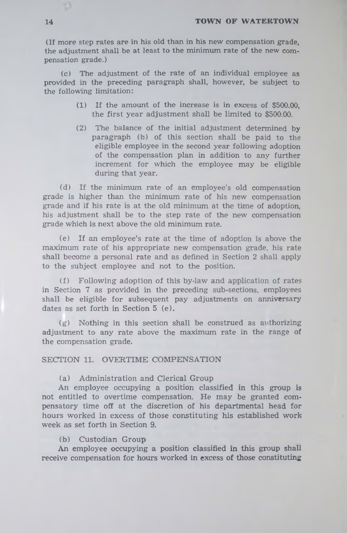(If more step rates are in his old than in his new compensation grade, the adjustment shall be at least to the minimum rate of the new compensation grade.)

(c) The adjustment of the rate of an individual employee as provided in the preceding paragraph shall, however, be subject to the following limitation:

- (1) If the amount of the increase is in excess of \$500.00, the first year adjustment shall be limited to \$500.00.
- (2) The balance of the initial adjustment determined by paragraph (b) of this section shall be paid to the eligible employee in the second year following adoption of the compensation plan in addition to any further increment for which the employee may be eligible during that year.

(d) If the minimum rate of an employee's old compensation grade is higher than the minimum rate of his new compensation grade and if his rate is at the old minimum at the time of adoption, his adjustment shall be to the step rate of the new compensation grade which is next above the old minimum rate.

(e) If an employee's rate at the time of adoption is above the maximum rate of his appropriate new compensation grade, his rate shall become a personal rate and as defined in Section 2 shall apply to the subject employee and not to the position.

(f) Following adoption of this by-law and application of rates in Section 7 as provided in the preceding sub-sections, employees shall be eligible for subsequent pay adjustments on anniversary dates as set forth in Section 5 (e).

(g) Nothing in this section shall be construed as authorizing adjustment to any rate above the maximum rate in the range of the compensation grade.

# SECTION 11. OVERTIME COMPENSATION

#### (a) Administration and Clerical Group

An employee occupying a position classified in this group is not entitled to overtime compensation. He may be granted compensatory time off at the discretion of his departmental head for hours worked in excess of those constituting his established work week as set forth in Section 9.

# (b) Custodian Group

An employee occupying a position classified in this group shall receive compensation for hours worked in excess of those constituting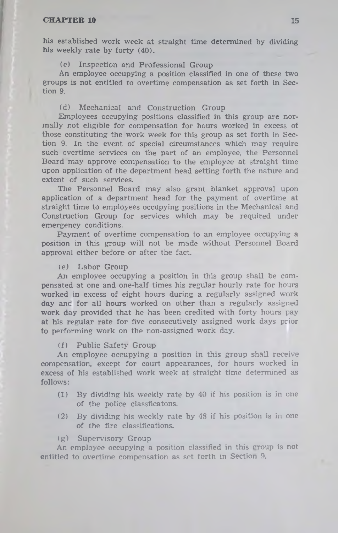his established work week at straight time determined by dividing his weekly rate by forty (40).

(c) Inspection and Professional Group

An employee occupying a position classified in one of these two groups is not entitled to overtime compensation as set forth in Section 9.

## (d) Mechanical and Construction Group

Employees occupying positions classified in this group are normally not eligible for compensation for hours worked in excess of those constituting the work week for this group as set forth in Section 9. In the event of special circumstances which may require such overtime services on the part of an employee, the Personnel Board may approve compensation to the employee at straight time upon application of the department head setting forth the nature and extent of such services.

The Personnel Board may also grant blanket approval upon application of a department head for the payment of overtime at straight time to employees occupying positions in the Mechanical and Construction Group for services which may be required under emergency conditions.

Payment of overtime compensation to an employee occupying a position in this group will not be made without Personnel Board approval either before or after the fact.

#### (e) Labor Group

An employee occupying a position in this group shall be compensated at one and one-half times his regular hourly rate for hours worked in excess of eight hours during a regularly assigned work day and for all hours worked on other than a regularly assigned work day provided that he has been credited with forty hours pay at his regular rate for five consecutively assigned work days prior to performing work on the non-assigned work day.

#### (f) Public Safety Group

An employee occupying a position in this group shall receive compensation, except for court appearances, for hours worked in excess of his established work week at straight time determined as follows:

- (1) By dividing his weekly rate by 40 if his position is in one of the police classficatons.
- (2) By dividing his weekly rate by 48 if his position is in one of the fire classifications.

#### (g) Supervisory Group

An employee occupying a position classified in this croup is not entitled to overtime compensation as set forth in Section 9.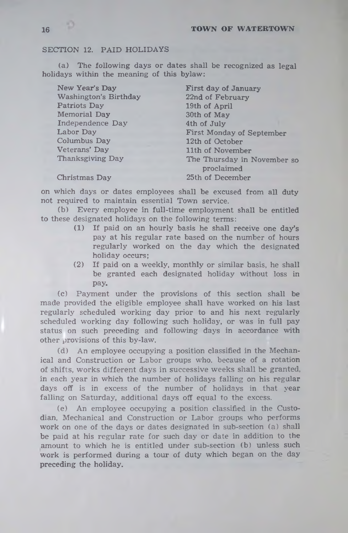# SECTION 12. PAID HOLIDAYS

(a) The following days or dates shall be recognized as legal holidays within the meaning of this bylaw:

New Year's Day Washington's Birthday Patriots Day Memorial Day Independence Day Labor Day Columbus Day Veterans' Day Thanksgiving Day

First day of January 22nd of February 19th of April 30th of May 4th of July First Monday of September 12th of October 11th of November The Thursday in November so proclaimed 25th of December

Christmas Day

on which days or dates employees shall be excused from all duty not required to maintain essential Town service.

(b) Every employee in full-time employment shall be entitled to these designated holidays on the following terms:

- (1) If paid on an hourly basis he shall receive one day's pay at his regular rate based on the number of hours regularly worked on the day which the designated holiday occurs;
- (2) If paid on a weekly, monthly or similar basis, he shall be granted each designated holiday without loss in pay.

(c) Payment under the provisions of this section shall be made provided the eligible employee shall have worked on his last regularly scheduled working day prior to and his next regularly scheduled working day following such holiday, or was in full pay status on such preceding and following days in accordance with other provisions of this by-law.

(d) An employee occupying a position classified in the Mechanical and Construction or Labor groups who. because of a rotation of shifts, works different days in successive weeks shall be granted, in each year in which the number of holidays falling on his regular days off is in excess of the number of holidays in that year falling on Saturday, additional days off equal to the excess.

(e) An employee occupying a position classified in the Custodian, Mechanical and Construction or Labor groups who performs work on one of the days or dates designated in sub-section (a) shall be paid at his regular rate for such day or date in addition to the amount to which he is entitled under sub-section (b) unless such work is performed during a tour of duty which began on the day preceding the holiday.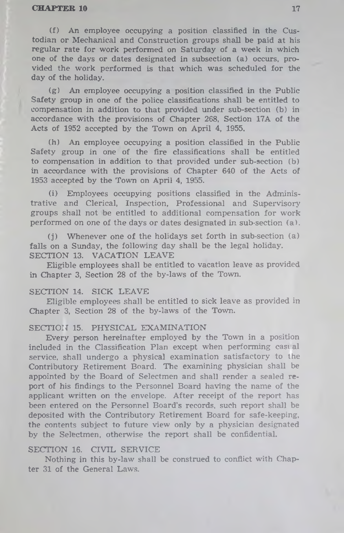(f) An employee occupying a position classified in the Custodian or Mechanical and Construction groups shall be paid at his regular rate for work performed on Saturday of a week in which one of the days or dates designated in subsection (a) occurs, provided the work performed is that which was scheduled for the day of the holiday.

(g) An employee occupying a position classified in the Public Safety group in one of the police classifications shall be entitled to compensation in addition to that provided under sub-section (b) in accordance with the provisions of Chapter 268, Section 17A of the Acts of 1952 accepted by the Town on April 4, 1955.

(h) An employee occupying a position classified in the Public Safety group in one of the fire classifications shall be entitled to compensation in addition to that provided under sub-section (b) in accordance with the provisions of Chapter 640 of the Acts of 1953 accepted by the Town on April 4, 1955.

(i) Employees occupying positions classified in the Administrative and Clerical, Inspection, Professional and Supervisory groups shall not be entitled to additional compensation for work performed on one of the days or dates designated in sub-section (a).

 $(i)$  Whenever one of the holidays set forth in sub-section  $(a)$ falls on a Sunday, the following day shall be the legal holiday. SECTION 13. VACATION LEAVE

Eligible employees shall be entitled to vacation leave as provided in Chapter 3, Section 28 of the by-laws of the Town.

#### SECTION 14. SICK LEAVE

Eligible employees shall be entitled to sick leave as provided in Chapter 3, Section 28 of the by-laws of the Town.

#### SECTION 15. PHYSICAL EXAMINATION

Every person hereinafter employed by the Town in a position included in the Classification Plan except when performing cast al service, shall undergo a physical examination satisfactory to the Contributory Retirement Board. The examining physician shall be appointed by the Board of Selectmen and shall render a sealed report of his findings to the Personnel Board having the name of the applicant written on the envelope. After receipt of the report has been entered on the Personnel Board's records, such report shall be deposited with the Contributory Retirement Board for safe-keeping, the contents subject to future view only by a physician designated by the Selectmen, otherwise the report shall be confidential.

#### SECTION 16. CIVIL SERVICE

Nothing in this by-law shall be construed to conflict with Chapter 31 of the General Laws.